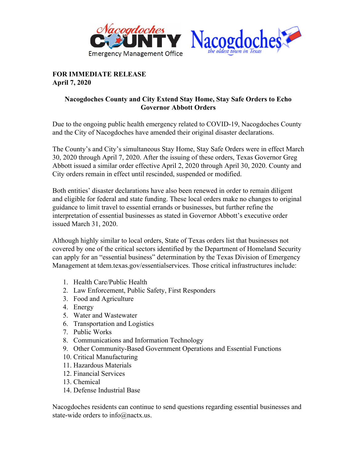



## **FOR IMMEDIATE RELEASE April 7, 2020**

## **Nacogdoches County and City Extend Stay Home, Stay Safe Orders to Echo Governor Abbott Orders**

Due to the ongoing public health emergency related to COVID-19, Nacogdoches County and the City of Nacogdoches have amended their original disaster declarations.

The County's and City's simultaneous Stay Home, Stay Safe Orders were in effect March 30, 2020 through April 7, 2020. After the issuing of these orders, Texas Governor Greg Abbott issued a similar order effective April 2, 2020 through April 30, 2020. County and City orders remain in effect until rescinded, suspended or modified.

Both entities' disaster declarations have also been renewed in order to remain diligent and eligible for federal and state funding. These local orders make no changes to original guidance to limit travel to essential errands or businesses, but further refine the interpretation of essential businesses as stated in Governor Abbott's executive order issued March 31, 2020.

Although highly similar to local orders, State of Texas orders list that businesses not covered by one of the critical sectors identified by the Department of Homeland Security can apply for an "essential business" determination by the Texas Division of Emergency Management at tdem.texas.gov/essentialservices. Those critical infrastructures include:

- 1. Health Care/Public Health
- 2. Law Enforcement, Public Safety, First Responders
- 3. Food and Agriculture
- 4. Energy
- 5. Water and Wastewater
- 6. Transportation and Logistics
- 7. Public Works
- 8. Communications and Information Technology
- 9. Other Community-Based Government Operations and Essential Functions
- 10. Critical Manufacturing
- 11. Hazardous Materials
- 12. Financial Services
- 13. Chemical
- 14. Defense Industrial Base

Nacogdoches residents can continue to send questions regarding essential businesses and state-wide orders to info@nactx.us.